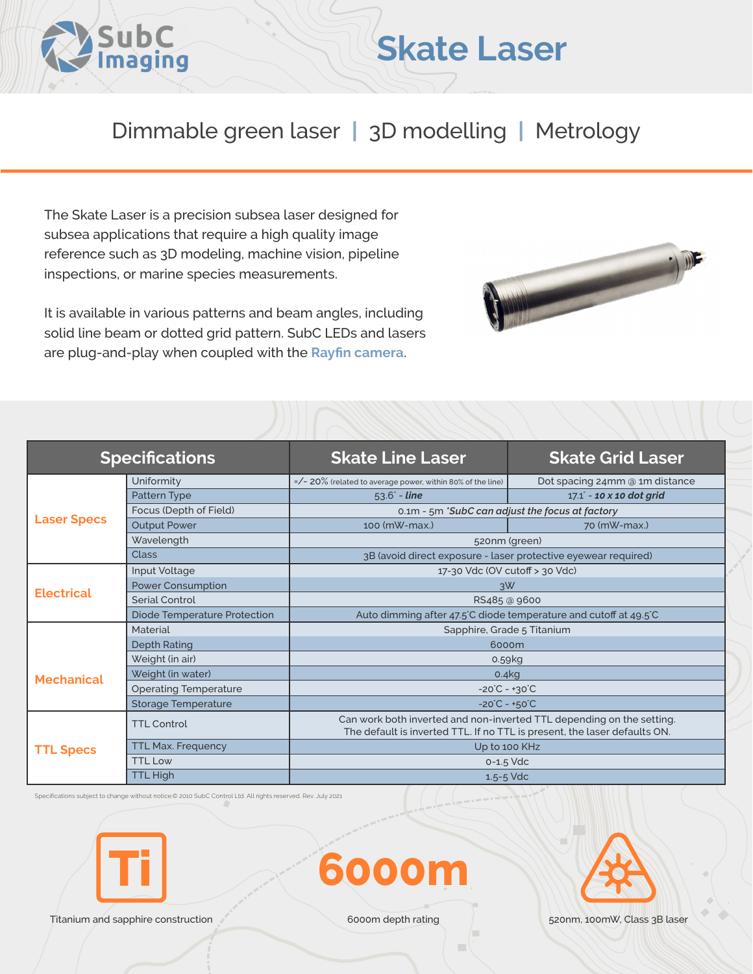

## Dimmable green laser **|** 3D modelling **|** Metrology

**Skate Laser**

The Skate Laser is a precision subsea laser designed for subsea applications that require a high quality image reference such as 3D modeling, machine vision, pipeline inspections, or marine species measurements.

It is available in various patterns and beam angles, including solid line beam or dotted grid pattern. SubC LEDs and lasers are plug-and-play when coupled with the **[Rayfin camera](https://www.subcimaging.com/rayfin-liquidoptics)**.



| <b>Specifications</b> |                              | <b>Skate Line Laser</b>                                          | <b>Skate Grid Laser</b>                                                                                                                            |  |
|-----------------------|------------------------------|------------------------------------------------------------------|----------------------------------------------------------------------------------------------------------------------------------------------------|--|
| <b>Laser Specs</b>    | Uniformity                   | $=$ /- 20% (related to average power, within 80% of the line)    | Dot spacing 24mm @ 1m distance                                                                                                                     |  |
|                       | Pattern Type                 | $53.6^{\circ}$ - line                                            | $17.1^{\circ}$ - 10 x 10 dot grid                                                                                                                  |  |
|                       | Focus (Depth of Field)       | 0.1m - 5m 'SubC can adjust the focus at factory                  |                                                                                                                                                    |  |
|                       | <b>Output Power</b>          | 100 (mW-max.)                                                    | 70 (mW-max.)                                                                                                                                       |  |
|                       | Wavelength                   | 520nm (green)                                                    |                                                                                                                                                    |  |
|                       | <b>Class</b>                 | 3B (avoid direct exposure - laser protective eyewear required)   |                                                                                                                                                    |  |
| <b>Electrical</b>     | Input Voltage                | 17-30 Vdc (OV cutoff > 30 Vdc)                                   |                                                                                                                                                    |  |
|                       | <b>Power Consumption</b>     | 3W                                                               |                                                                                                                                                    |  |
|                       | Serial Control               | RS485 @ 9600                                                     |                                                                                                                                                    |  |
|                       | Diode Temperature Protection | Auto dimming after 47.5°C diode temperature and cutoff at 49.5°C |                                                                                                                                                    |  |
|                       | Material                     | Sapphire, Grade 5 Titanium                                       |                                                                                                                                                    |  |
|                       | <b>Depth Rating</b><br>6000m |                                                                  |                                                                                                                                                    |  |
| <b>Mechanical</b>     | Weight (in air)              | 0.59kg                                                           |                                                                                                                                                    |  |
|                       | Weight (in water)            | 0.4kg                                                            |                                                                                                                                                    |  |
|                       | <b>Operating Temperature</b> | $-20^{\circ}C - +30^{\circ}C$                                    |                                                                                                                                                    |  |
|                       | <b>Storage Temperature</b>   | $-20^{\circ}C - +50^{\circ}C$                                    |                                                                                                                                                    |  |
| <b>TTL Specs</b>      | <b>TTL Control</b>           |                                                                  | Can work both inverted and non-inverted TTL depending on the setting.<br>The default is inverted TTL. If no TTL is present, the laser defaults ON. |  |
|                       | <b>TTL Max. Frequency</b>    | Up to 100 KHz                                                    |                                                                                                                                                    |  |
|                       | <b>TTL Low</b>               | $0 - 1.5$ Vdc                                                    |                                                                                                                                                    |  |
|                       | <b>TTL High</b>              |                                                                  | $1.5 - 5$ Vdc                                                                                                                                      |  |

Specifications subject to change without notice.© 2010 SubC Control Ltd. All rights reserved. Rev. July 2021



Titanium and sapphire construction and sapphire construction 6000m depth rating 520nm, 100mW, Class 3B laser

**6000m**